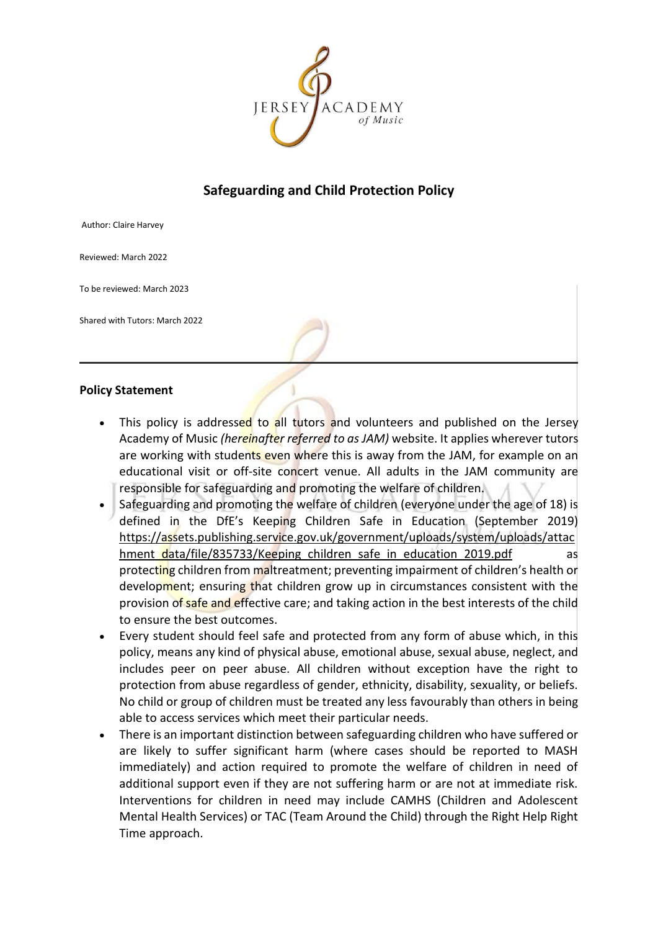

# **Safeguarding and Child Protection Policy**

Author: Claire Harvey

Reviewed: March 2022

To be reviewed: March 2023

Shared with Tutors: March 2022

#### **Policy Statement**

- This policy is addressed to all tutors and volunteers and published on the Jersey Academy of Music *(hereinafter referred to as JAM)* website. It applies wherever tutors are working with students even where this is away from the JAM, for example on an educational visit or off-site concert venue. All adults in the JAM community are responsible for safeguarding and promoting the welfare of children.
- Safeguarding and promoting the welfare of children (everyone under the age of 18) is defined in the DfE's Keeping Children Safe in Education (September 2019) [https://assets.publishing.service.gov.uk/government/uploads/system/uploads/attac](https://assets.publishing.service.gov.uk/government/uploads/system/uploads/attachment_data/file/835733/Keeping_children_safe_in_education_2019.pdf) hment data/file/835733/Keeping children safe in education 2019.pdf as protecting children from maltreatment; preventing impairment of children's health or development; ensuring that children grow up in circumstances consistent with the provision of safe and effective care; and taking action in the best interests of the child to ensure the best outcomes.
- Every student should feel safe and protected from any form of abuse which, in this policy, means any kind of physical abuse, emotional abuse, sexual abuse, neglect, and includes peer on peer abuse. All children without exception have the right to protection from abuse regardless of gender, ethnicity, disability, sexuality, or beliefs. No child or group of children must be treated any less favourably than others in being able to access services which meet their particular needs.
- There is an important distinction between safeguarding children who have suffered or are likely to suffer significant harm (where cases should be reported to MASH immediately) and action required to promote the welfare of children in need of additional support even if they are not suffering harm or are not at immediate risk. Interventions for children in need may include CAMHS (Children and Adolescent Mental Health Services) or TAC (Team Around the Child) through the Right Help Right Time approach.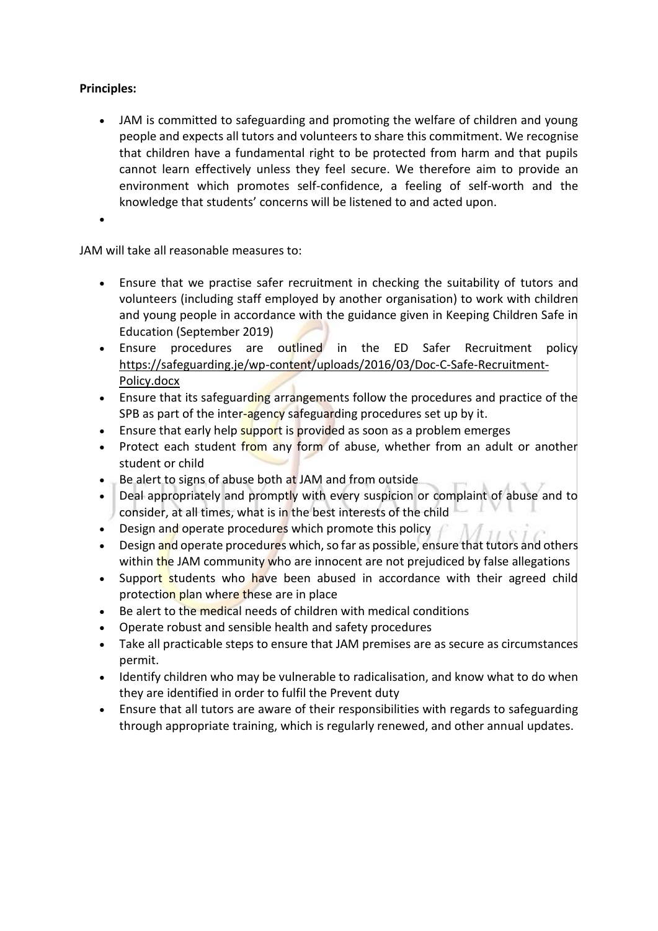# **Principles:**

• JAM is committed to safeguarding and promoting the welfare of children and young people and expects all tutors and volunteers to share this commitment. We recognise that children have a fundamental right to be protected from harm and that pupils cannot learn effectively unless they feel secure. We therefore aim to provide an environment which promotes self-confidence, a feeling of self-worth and the knowledge that students' concerns will be listened to and acted upon.

•

JAM will take all reasonable measures to:

- Ensure that we practise safer recruitment in checking the suitability of tutors and volunteers (including staff employed by another organisation) to work with children and young people in accordance with the guidance given in Keeping Children Safe in Education (September 2019)
- Ensure procedures are outlined in the ED Safer Recruitment policy [https://safeguarding.je/wp-content/uploads/2016/03/Doc-C-Safe-Recruitment-](https://safeguarding.je/wp-content/uploads/2016/03/Doc-C-Safe-Recruitment-Policy.docx)[Policy.docx](https://safeguarding.je/wp-content/uploads/2016/03/Doc-C-Safe-Recruitment-Policy.docx)
- Ensure that its safeguarding arrangements follow the procedures and practice of the SPB as part of the inter-agency safeguarding procedures set up by it.
- Ensure that early help support is provided as soon as a problem emerges
- Protect each student from any form of abuse, whether from an adult or another student or child
- Be alert to signs of abuse both at JAM and from outside
- Deal appropriately and promptly with every suspicion or complaint of abuse and to consider, at all times, what is in the best interests of the child
- Design and operate procedures which promote this policy  $\mathcal{L}$
- Design and operate procedures which, so far as possible, ensure that tutors and others within the JAM community who are innocent are not prejudiced by false allegations
- Support students who have been abused in accordance with their agreed child protection plan where these are in place
- Be alert to the medical needs of children with medical conditions
- Operate robust and sensible health and safety procedures
- Take all practicable steps to ensure that JAM premises are as secure as circumstances permit.
- Identify children who may be vulnerable to radicalisation, and know what to do when they are identified in order to fulfil the Prevent duty
- Ensure that all tutors are aware of their responsibilities with regards to safeguarding through appropriate training, which is regularly renewed, and other annual updates.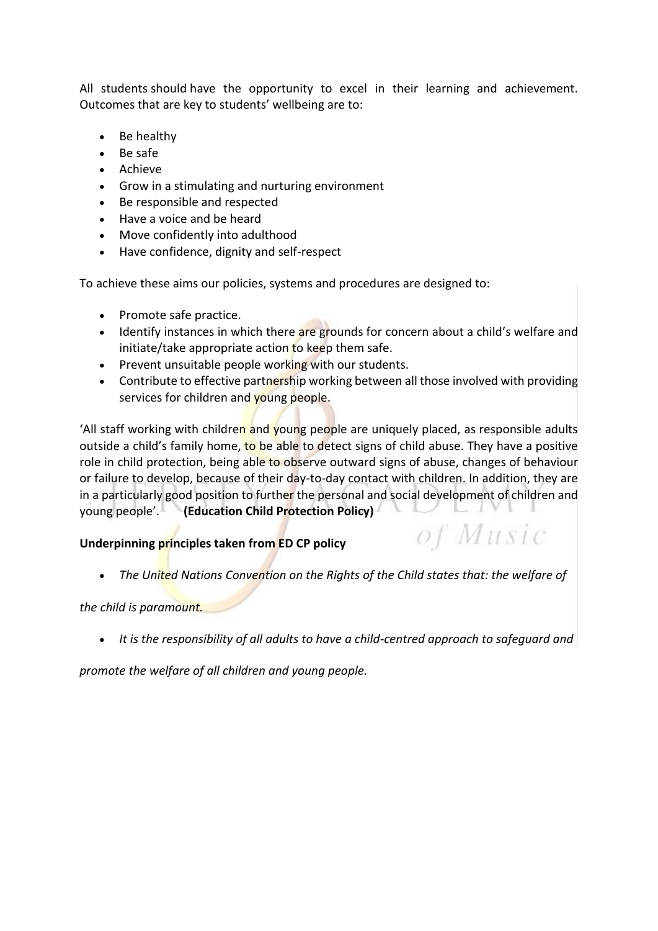All students should have the opportunity to excel in their learning and achievement. Outcomes that are key to students' wellbeing are to:

- Be healthy
- Be safe
- Achieve
- Grow in a stimulating and nurturing environment
- Be responsible and respected
- Have a voice and be heard
- Move confidently into adulthood
- Have confidence, dignity and self-respect

To achieve these aims our policies, systems and procedures are designed to:

- Promote safe practice.
- Identify instances in which there are grounds for concern about a child's welfare and initiate/take appropriate action to keep them safe.
- Prevent unsuitable people working with our students.
- Contribute to effective partnership working between all those involved with providing services for children and young people.

'All staff working with children and young people are uniquely placed, as responsible adults outside a child's family home, to be able to detect signs of child abuse. They have a positive role in child protection, being able to observe outward signs of abuse, changes of behaviour or failure to develop, because of their day-to-day contact with children. In addition, they are in a particularly good position to further the personal and social development of children and young people'. **(Education Child Protection Policy)**

## **Underpinning principles taken from ED CP policy**

• *The United Nations Convention on the Rights of the Child states that: the welfare of*

of Music

## *the child is paramount.*

• *It is the responsibility of all adults to have a child-centred approach to safeguard and*

*promote the welfare of all children and young people.*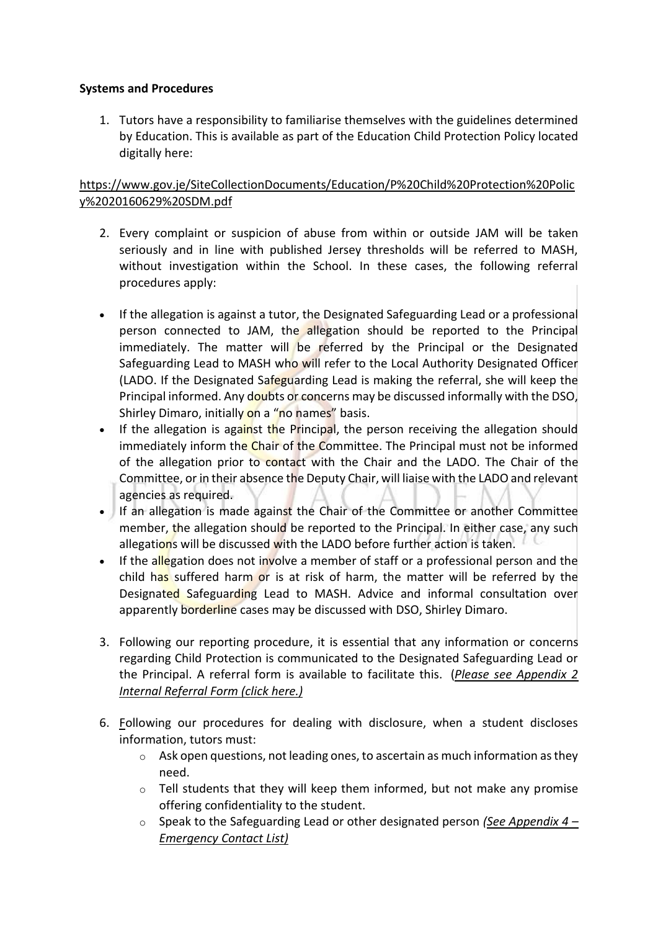## **Systems and Procedures**

1. Tutors have a responsibility to familiarise themselves with the guidelines determined by Education. This is available as part of the Education Child Protection Policy located digitally here:

# [https://www.gov.je/SiteCollectionDocuments/Education/P%20Child%20Protection%20Polic](https://www.gov.je/SiteCollectionDocuments/Education/P%20Child%20Protection%20Policy%2020160629%20SDM.pdf) [y%2020160629%20SDM.pdf](https://www.gov.je/SiteCollectionDocuments/Education/P%20Child%20Protection%20Policy%2020160629%20SDM.pdf)

- 2. Every complaint or suspicion of abuse from within or outside JAM will be taken seriously and in line with published Jersey thresholds will be referred to MASH, without investigation within the School. In these cases, the following referral procedures apply:
- If the allegation is against a tutor, the Designated Safeguarding Lead or a professional person connected to JAM, the allegation should be reported to the Principal immediately. The matter will be referred by the Principal or the Designated Safeguarding Lead to MASH who will refer to the Local Authority Designated Officer (LADO. If the Designated Safeguarding Lead is making the referral, she will keep the Principal informed. Any doubts or concerns may be discussed informally with the DSO, Shirley Dimaro, initially on a "no names" basis.
- If the allegation is against the Principal, the person receiving the allegation should immediately inform the Chair of the Committee. The Principal must not be informed of the allegation prior to contact with the Chair and the LADO. The Chair of the Committee, or in their absence the Deputy Chair, will liaise with the LADO and relevant agencies as required.
- If an allegation is made against the Chair of the Committee or another Committee member, the allegation should be reported to the Principal. In either case, any such allegations will be discussed with the LADO before further action is taken.
- If the allegation does not involve a member of staff or a professional person and the child has suffered harm or is at risk of harm, the matter will be referred by the Designated Safeguarding Lead to MASH. Advice and informal consultation over apparently borderline cases may be discussed with DSO, Shirley Dimaro.
- 3. Following our reporting procedure, it is essential that any information or concerns regarding Child Protection is communicated to the Designated Safeguarding Lead or the Principal. A referral form is available to facilitate this. (*[Please see Appendix 2](#page-15-0)  [Internal Referral Form](#page-15-0) (click here.)*
- [6.](#page-15-0) Following our procedures for dealing with disclosure, when a student discloses information, tutors must:
	- $\circ$  Ask open questions, not leading ones, to ascertain as much information as they need.
	- $\circ$  Tell students that they will keep them informed, but not make any promise offering confidentiality to the student.
	- o Speak to the Safeguarding Lead or other designated person *[\(See Appendix 4](#page-19-0) – [Emergency Contact List\)](#page-19-0)*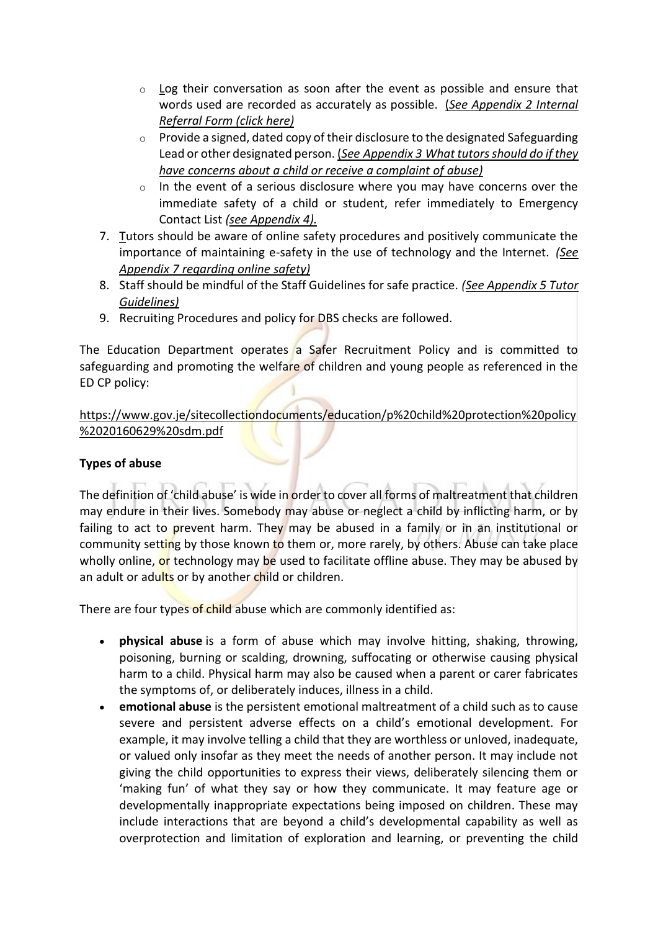- $\circ$  [Lo](#page-19-0)g their conversation as soon after the event as possible and ensure that words used are recorded as accurately as possible. (*[See Appendix 2 Internal](#page-15-0)  [Referral Form \(click here\)](#page-15-0)*
- $\circ$  Provide a signed, dated copy of their disclosure to the designated Safeguarding Lead or other designated person. (*See Appendix 3 [What tutors should do if they](#page-17-0)  [have concerns about a child or receive a complaint of abuse\)](#page-17-0)*
- o In the event of a serious disclosure where you may have concerns over the immediate safety of a child or student, refer immediately to Emergency Contact List *[\(see Appendix 4\).](#page-19-0)*
- [7.](#page-19-0) Tutors should be aware of online safety procedures and positively communicate the importance of maintaining e-safety in the use of technology and the Internet. *[\(See](#page-23-0)  Appendix 7 [regarding online safety\)](#page-23-0)*
- 8. Staff should be mindful of the Staff Guidelines for safe practice. *[\(See Appendix 5 Tutor](#page-20-0) [Guidelines\)](#page-20-0)*
- 9. Recruiting Procedures and policy for DBS checks are followed.

The Education Department operates a Safer Recruitment Policy and is committed to safeguarding and promoting the welfare of children and young people as referenced in the ED CP policy:

## [https://www.gov.je/sitecollectiondocuments/education/p%20child%20protection%20policy](https://www.gov.je/sitecollectiondocuments/education/p%20child%20protection%20policy%2020160629%20sdm.pdf) [%2020160629%20sdm.pdf](https://www.gov.je/sitecollectiondocuments/education/p%20child%20protection%20policy%2020160629%20sdm.pdf)

## **Types of abuse**

The definition of 'child abuse' is wide in order to cover all forms of maltreatment that children may endure in their lives. Somebody may abuse or neglect a child by inflicting harm, or by failing to act to prevent harm. They may be abused in a family or in an institutional or community setting by those known to them or, more rarely, by others. Abuse can take place wholly online, or technology may be used to facilitate offline abuse. They may be abused by an adult or adults or by another child or children.

There are four types of child abuse which are commonly identified as:

- **physical abuse** is a form of abuse which may involve hitting, shaking, throwing, poisoning, burning or scalding, drowning, suffocating or otherwise causing physical harm to a child. Physical harm may also be caused when a parent or carer fabricates the symptoms of, or deliberately induces, illness in a child.
- **emotional abuse** is the persistent emotional maltreatment of a child such as to cause severe and persistent adverse effects on a child's emotional development. For example, it may involve telling a child that they are worthless or unloved, inadequate, or valued only insofar as they meet the needs of another person. It may include not giving the child opportunities to express their views, deliberately silencing them or 'making fun' of what they say or how they communicate. It may feature age or developmentally inappropriate expectations being imposed on children. These may include interactions that are beyond a child's developmental capability as well as overprotection and limitation of exploration and learning, or preventing the child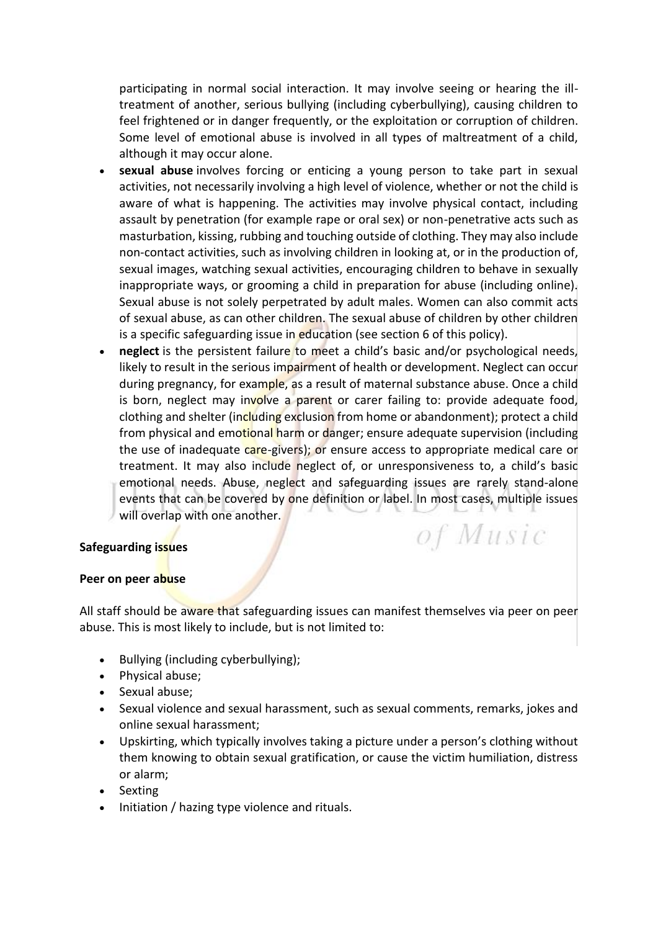participating in normal social interaction. It may involve seeing or hearing the illtreatment of another, serious bullying (including cyberbullying), causing children to feel frightened or in danger frequently, or the exploitation or corruption of children. Some level of emotional abuse is involved in all types of maltreatment of a child, although it may occur alone.

- **sexual abuse** involves forcing or enticing a young person to take part in sexual activities, not necessarily involving a high level of violence, whether or not the child is aware of what is happening. The activities may involve physical contact, including assault by penetration (for example rape or oral sex) or non-penetrative acts such as masturbation, kissing, rubbing and touching outside of clothing. They may also include non-contact activities, such as involving children in looking at, or in the production of, sexual images, watching sexual activities, encouraging children to behave in sexually inappropriate ways, or grooming a child in preparation for abuse (including online). Sexual abuse is not solely perpetrated by adult males. Women can also commit acts of sexual abuse, as can other children. The sexual abuse of children by other children is a specific safeguarding issue in education (see section 6 of this policy).
- **neglect** is the persistent failure to meet a child's basic and/or psychological needs, likely to result in the serious impairment of health or development. Neglect can occur during pregnancy, for example, as a result of maternal substance abuse. Once a child is born, neglect may involve a parent or carer failing to: provide adequate food, clothing and shelter (including exclusion from home or abandonment); protect a child from physical and emotional harm or danger; ensure adequate supervision (including the use of inadequate care-givers); or ensure access to appropriate medical care or treatment. It may also include neglect of, or unresponsiveness to, a child's basic emotional needs. Abuse, neglect and safeguarding issues are rarely stand-alone events that can be covered by one definition or label. In most cases, multiple issues will overlap with one another. of Music

## **Safeguarding issues**

## **Peer on peer abuse**

All staff should be aware that safeguarding issues can manifest themselves via peer on peer abuse. This is most likely to include, but is not limited to:

- Bullying (including cyberbullying);
- Physical abuse;
- Sexual abuse;
- Sexual violence and sexual harassment, such as sexual comments, remarks, jokes and online sexual harassment;
- Upskirting, which typically involves taking a picture under a person's clothing without them knowing to obtain sexual gratification, or cause the victim humiliation, distress or alarm;
- Sexting
- Initiation / hazing type violence and rituals.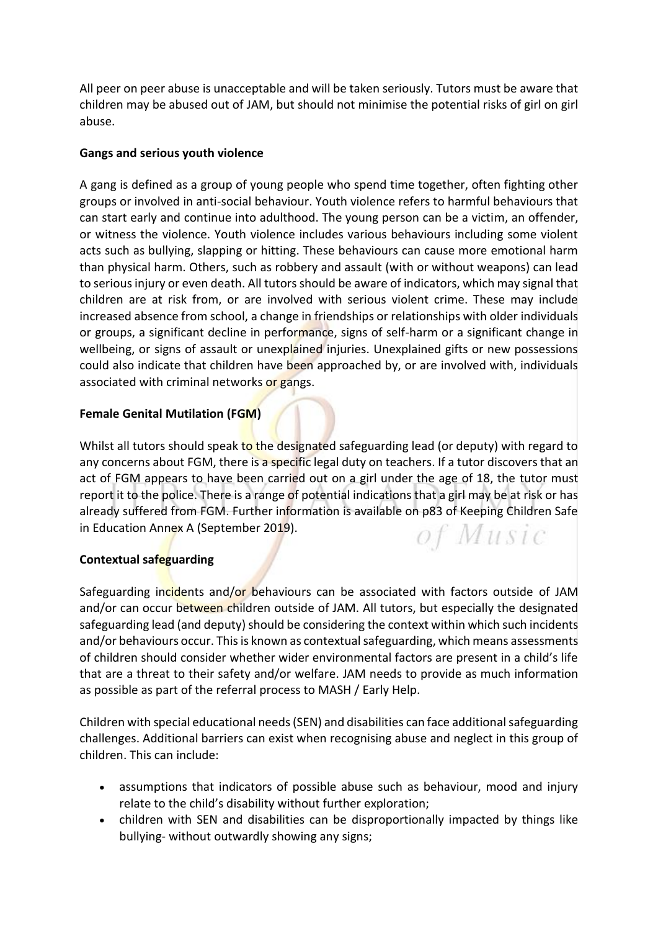All peer on peer abuse is unacceptable and will be taken seriously. Tutors must be aware that children may be abused out of JAM, but should not minimise the potential risks of girl on girl abuse.

## **Gangs and serious youth violence**

A gang is defined as a group of young people who spend time together, often fighting other groups or involved in anti-social behaviour. Youth violence refers to harmful behaviours that can start early and continue into adulthood. The young person can be a victim, an offender, or witness the violence. Youth violence includes various behaviours including some violent acts such as bullying, slapping or hitting. These behaviours can cause more emotional harm than physical harm. Others, such as robbery and assault (with or without weapons) can lead to serious injury or even death. All tutors should be aware of indicators, which may signal that children are at risk from, or are involved with serious violent crime. These may include increased absence from school, a change in friendships or relationships with older individuals or groups, a significant decline in performance, signs of self-harm or a significant change in wellbeing, or signs of assault or unexplained injuries. Unexplained gifts or new possessions could also indicate that children have been approached by, or are involved with, individuals associated with criminal networks or gangs.

# **Female Genital Mutilation (FGM)**

Whilst all tutors should speak to the designated safeguarding lead (or deputy) with regard to any concerns about FGM, there is a specific legal duty on teachers. If a tutor discovers that an act of FGM appears to have been carried out on a girl under the age of 18, the tutor must report it to the police. There is a range of potential indications that a girl may be at risk or has already suffered from FGM. Further information is available on p83 of Keeping Children Safe in Education Annex A (September 2019). of Music

# **Contextual safeguarding**

Safeguarding incidents and/or behaviours can be associated with factors outside of JAM and/or can occur between children outside of JAM. All tutors, but especially the designated safeguarding lead (and deputy) should be considering the context within which such incidents and/or behaviours occur. This is known as contextual safeguarding, which means assessments of children should consider whether wider environmental factors are present in a child's life that are a threat to their safety and/or welfare. JAM needs to provide as much information as possible as part of the referral process to MASH / Early Help.

Children with special educational needs (SEN) and disabilities can face additional safeguarding challenges. Additional barriers can exist when recognising abuse and neglect in this group of children. This can include:

- assumptions that indicators of possible abuse such as behaviour, mood and injury relate to the child's disability without further exploration;
- children with SEN and disabilities can be disproportionally impacted by things like bullying- without outwardly showing any signs;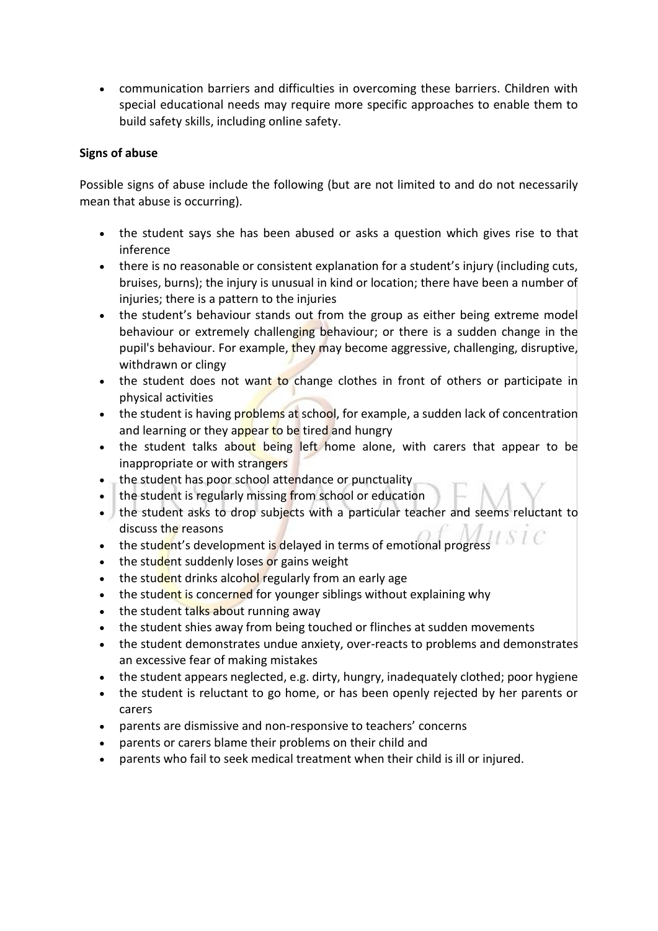• communication barriers and difficulties in overcoming these barriers. Children with special educational needs may require more specific approaches to enable them to build safety skills, including online safety.

## **Signs of abuse**

Possible signs of abuse include the following (but are not limited to and do not necessarily mean that abuse is occurring).

- the student says she has been abused or asks a question which gives rise to that inference
- there is no reasonable or consistent explanation for a student's injury (including cuts, bruises, burns); the injury is unusual in kind or location; there have been a number of injuries; there is a pattern to the injuries
- the student's behaviour stands out from the group as either being extreme model behaviour or extremely challenging behaviour; or there is a sudden change in the pupil's behaviour. For example, they may become aggressive, challenging, disruptive, withdrawn or clingy
- the student does not want to change clothes in front of others or participate in physical activities
- the student is having problems at school, for example, a sudden lack of concentration and learning or they appear to be tired and hungry
- the student talks about being left home alone, with carers that appear to be inappropriate or with strangers
- the student has poor school attendance or punctuality
- the student is regularly missing from school or education
- the student asks to drop subjects with a particular teacher and seems reluctant to discuss the reasons
- the student's development is delayed in terms of emotional progress
- the student suddenly loses or gains weight
- the student drinks alcohol regularly from an early age
- the student is concerned for younger siblings without explaining why
- the student talks about running away
- the student shies away from being touched or flinches at sudden movements
- the student demonstrates undue anxiety, over-reacts to problems and demonstrates an excessive fear of making mistakes
- the student appears neglected, e.g. dirty, hungry, inadequately clothed; poor hygiene
- the student is reluctant to go home, or has been openly rejected by her parents or carers
- parents are dismissive and non-responsive to teachers' concerns
- parents or carers blame their problems on their child and
- parents who fail to seek medical treatment when their child is ill or injured.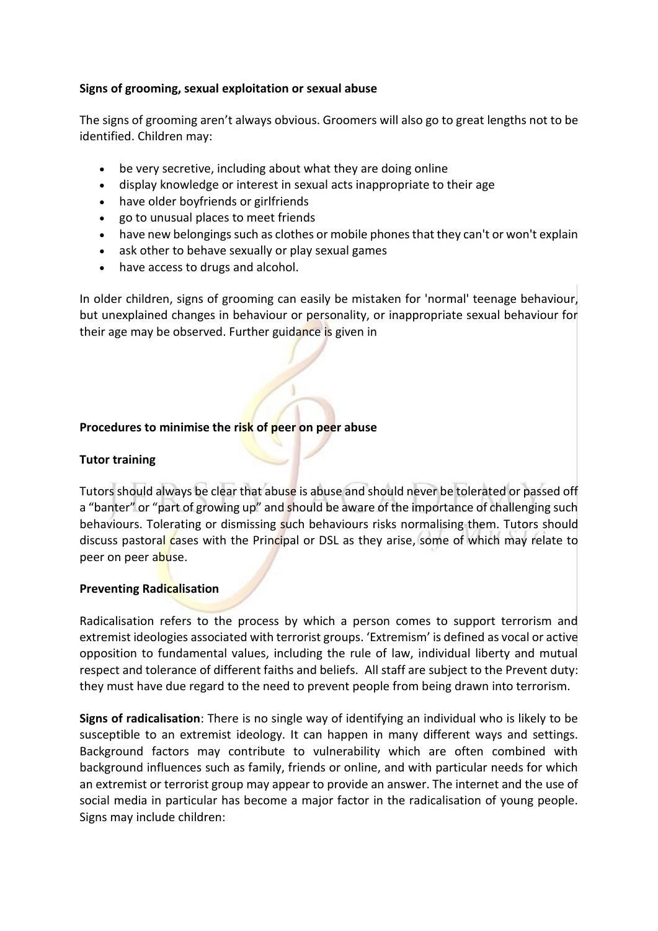## **Signs of grooming, sexual exploitation or sexual abuse**

The signs of grooming aren't always obvious. Groomers will also go to great lengths not to be identified. Children may:

- be very secretive, including about what they are doing online
- display knowledge or interest in sexual acts inappropriate to their age
- have older boyfriends or girlfriends
- go to unusual places to meet friends
- have new belongings such as clothes or mobile phones that they can't or won't explain
- ask other to behave sexually or play sexual games
- have access to drugs and alcohol.

In older children, signs of grooming can easily be mistaken for 'normal' teenage behaviour, but unexplained changes in behaviour or personality, or inappropriate sexual behaviour for their age may be observed. Further guidance is given in

## **Procedures to minimise the risk of peer on peer abuse**

## **Tutor training**

Tutors should always be clear that abuse is abuse and should never be tolerated or passed off a "banter" or "part of growing up" and should be aware of the importance of challenging such behaviours. Tolerating or dismissing such behaviours risks normalising them. Tutors should discuss pastoral cases with the Principal or DSL as they arise, some of which may relate to peer on peer abuse.

## **Preventing Radicalisation**

Radicalisation refers to the process by which a person comes to support terrorism and extremist ideologies associated with terrorist groups. 'Extremism' is defined as vocal or active opposition to fundamental values, including the rule of law, individual liberty and mutual respect and tolerance of different faiths and beliefs. All staff are subject to the Prevent duty: they must have due regard to the need to prevent people from being drawn into terrorism.

**Signs of radicalisation**: There is no single way of identifying an individual who is likely to be susceptible to an extremist ideology. It can happen in many different ways and settings. Background factors may contribute to vulnerability which are often combined with background influences such as family, friends or online, and with particular needs for which an extremist or terrorist group may appear to provide an answer. The internet and the use of social media in particular has become a major factor in the radicalisation of young people. Signs may include children: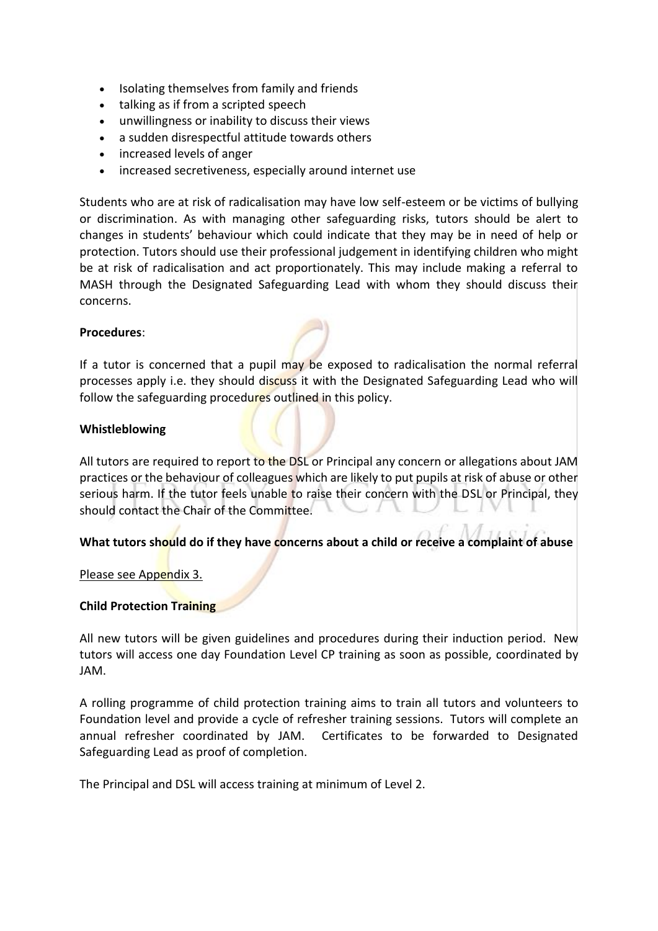- Isolating themselves from family and friends
- talking as if from a scripted speech
- unwillingness or inability to discuss their views
- a sudden disrespectful attitude towards others
- increased levels of anger
- increased secretiveness, especially around internet use

Students who are at risk of radicalisation may have low self-esteem or be victims of bullying or discrimination. As with managing other safeguarding risks, tutors should be alert to changes in students' behaviour which could indicate that they may be in need of help or protection. Tutors should use their professional judgement in identifying children who might be at risk of radicalisation and act proportionately. This may include making a referral to MASH through the Designated Safeguarding Lead with whom they should discuss their concerns.

## **Procedures**:

If a tutor is concerned that a pupil may be exposed to radicalisation the normal referral processes apply i.e. they should discuss it with the Designated Safeguarding Lead who will follow the safeguarding procedures outlined in this policy.

#### **Whistleblowing**

All tutors are required to report to the DSL or Principal any concern or allegations about JAM practices or the behaviour of colleagues which are likely to put pupils at risk of abuse or other serious harm. If the tutor feels unable to raise their concern with the DSL or Principal, they should contact the Chair of the Committee.

## **What tutors should do if they have concerns about a child or receive a complaint of abuse**

[Please see Appendix 3.](https://jerseycollegeforgirls.com/about-us/school-policies-information/#CPAppendix3)

## **Child Protection Training**

All new tutors will be given guidelines and procedures during their induction period. New tutors will access one day Foundation Level CP training as soon as possible, coordinated by JAM.

A rolling programme of child protection training aims to train all tutors and volunteers to Foundation level and provide a cycle of refresher training sessions. Tutors will complete an annual refresher coordinated by JAM. Certificates to be forwarded to Designated Safeguarding Lead as proof of completion.

The Principal and DSL will access training at minimum of Level 2.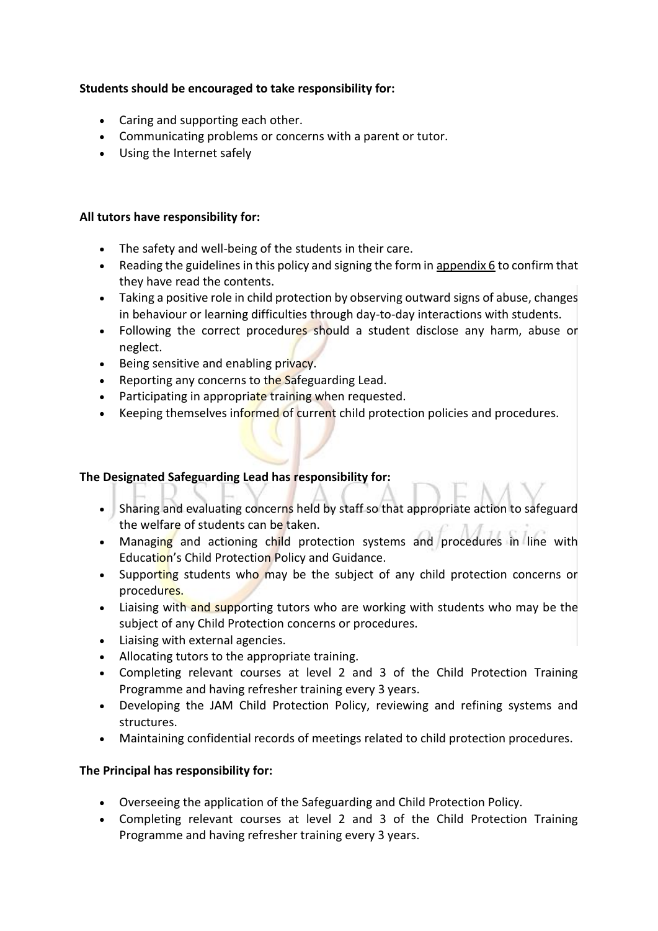## **Students should be encouraged to take responsibility for:**

- Caring and supporting each other.
- Communicating problems or concerns with a parent or tutor.
- Using the Internet safely

## **All tutors have responsibility for:**

- The safety and well-being of the students in their care.
- Reading the guidelines in this policy and signing the form in [appendix 6](#page-22-0) to confirm that they have read the contents.
- Taking a positive role in child protection by observing outward signs of abuse, changes in behaviour or learning difficulties through day-to-day interactions with students.
- Following the correct procedures should a student disclose any harm, abuse or neglect.
- Being sensitive and enabling privacy.
- Reporting any concerns to the Safeguarding Lead.
- Participating in appropriate training when requested.
- Keeping themselves informed of current child protection policies and procedures.

## **The Designated Safeguarding Lead has responsibility for:**

- Sharing and evaluating concerns held by staff so that appropriate action to safeguard the welfare of students can be taken.
- Managing and actioning child protection systems and procedures in line with Education's Child Protection Policy and Guidance.
- Supporting students who may be the subject of any child protection concerns or procedures.
- Liaising with and supporting tutors who are working with students who may be the subject of any Child Protection concerns or procedures.
- Liaising with external agencies.
- Allocating tutors to the appropriate training.
- Completing relevant courses at level 2 and 3 of the Child Protection Training Programme and having refresher training every 3 years.
- Developing the JAM Child Protection Policy, reviewing and refining systems and structures.
- Maintaining confidential records of meetings related to child protection procedures.

## **The Principal has responsibility for:**

- Overseeing the application of the Safeguarding and Child Protection Policy.
- Completing relevant courses at level 2 and 3 of the Child Protection Training Programme and having refresher training every 3 years.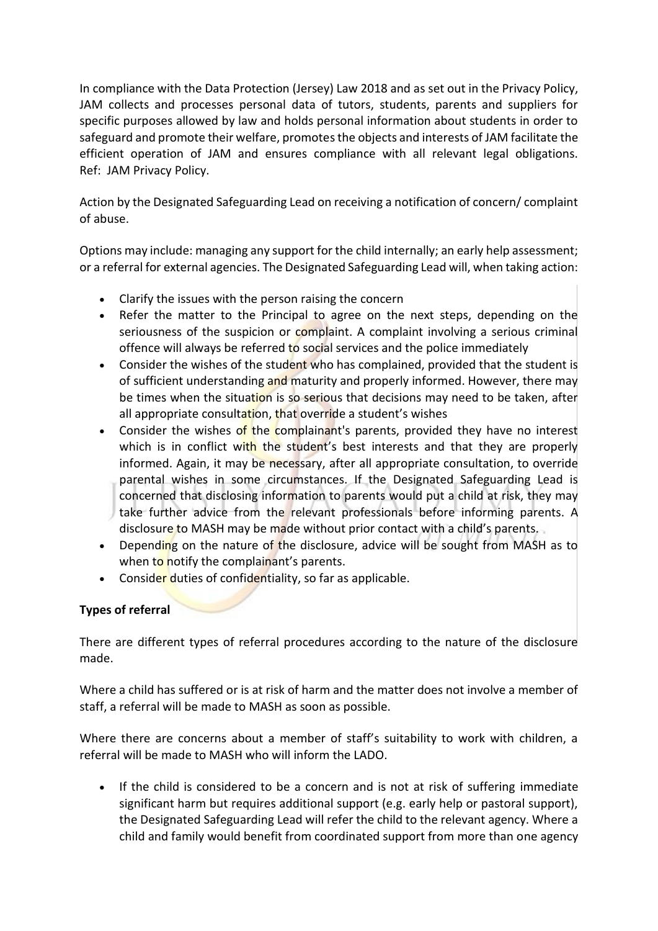In compliance with the Data Protection (Jersey) Law 2018 and as set out in the Privacy Policy, JAM collects and processes personal data of tutors, students, parents and suppliers for specific purposes allowed by law and holds personal information about students in order to safeguard and promote their welfare, promotes the objects and interests of JAM facilitate the efficient operation of JAM and ensures compliance with all relevant legal obligations. Ref: JAM Privacy Policy.

Action by the Designated Safeguarding Lead on receiving a notification of concern/ complaint of abuse.

Options may include: managing any support for the child internally; an early help assessment; or a referral for external agencies. The Designated Safeguarding Lead will, when taking action:

- Clarify the issues with the person raising the concern
- Refer the matter to the Principal to agree on the next steps, depending on the seriousness of the suspicion or complaint. A complaint involving a serious criminal offence will always be referred to social services and the police immediately
- Consider the wishes of the student who has complained, provided that the student is of sufficient understanding and maturity and properly informed. However, there may be times when the situation is so serious that decisions may need to be taken, after all appropriate consultation, that override a student's wishes
- Consider the wishes of the complainant's parents, provided they have no interest which is in conflict with the student's best interests and that they are properly informed. Again, it may be necessary, after all appropriate consultation, to override parental wishes in some circumstances. If the Designated Safeguarding Lead is concerned that disclosing information to parents would put a child at risk, they may take further advice from the relevant professionals before informing parents. A disclosure to MASH may be made without prior contact with a child's parents.
- Depending on the nature of the disclosure, advice will be sought from MASH as to when to notify the complainant's parents.
- Consider duties of confidentiality, so far as applicable.

## **Types of referral**

There are different types of referral procedures according to the nature of the disclosure made.

Where a child has suffered or is at risk of harm and the matter does not involve a member of staff, a referral will be made to MASH as soon as possible.

Where there are concerns about a member of staff's suitability to work with children, a referral will be made to MASH who will inform the LADO.

• If the child is considered to be a concern and is not at risk of suffering immediate significant harm but requires additional support (e.g. early help or pastoral support), the Designated Safeguarding Lead will refer the child to the relevant agency. Where a child and family would benefit from coordinated support from more than one agency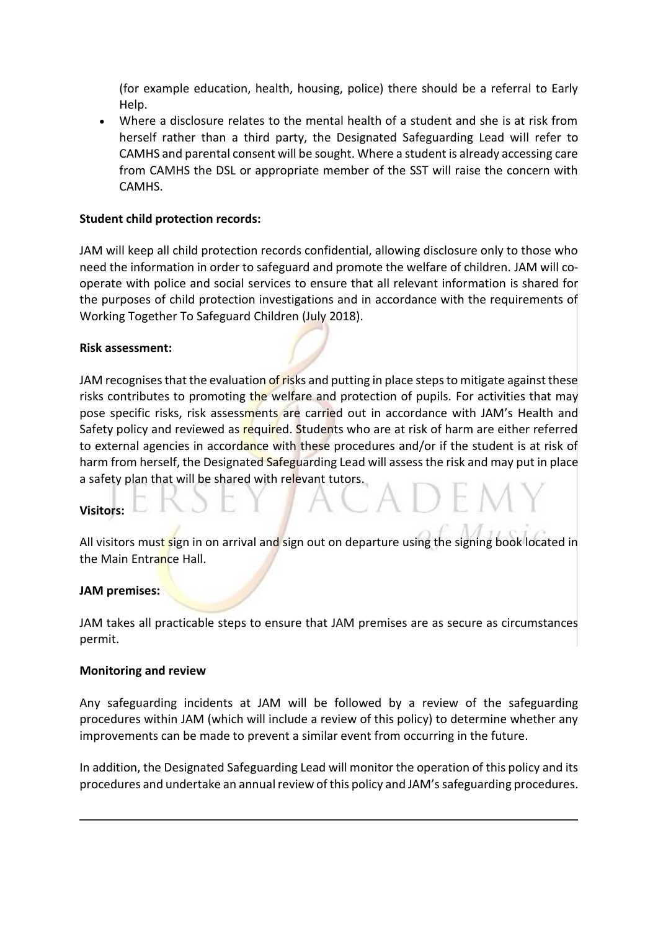(for example education, health, housing, police) there should be a referral to Early Help.

• Where a disclosure relates to the mental health of a student and she is at risk from herself rather than a third party, the Designated Safeguarding Lead will refer to CAMHS and parental consent will be sought. Where a student is already accessing care from CAMHS the DSL or appropriate member of the SST will raise the concern with CAMHS.

## **Student child protection records:**

JAM will keep all child protection records confidential, allowing disclosure only to those who need the information in order to safeguard and promote the welfare of children. JAM will cooperate with police and social services to ensure that all relevant information is shared for the purposes of child protection investigations and in accordance with the requirements of Working Together To Safeguard Children (July 2018).

## **Risk assessment:**

JAM recognises that the evaluation of risks and putting in place steps to mitigate against these risks contributes to promoting the welfare and protection of pupils. For activities that may pose specific risks, risk assessments are carried out in accordance with JAM's Health and Safety policy and reviewed as required. Students who are at risk of harm are either referred to external agencies in accordance with these procedures and/or if the student is at risk of harm from herself, the Designated Safeguarding Lead will assess the risk and may put in place a safety plan that will be shared with relevant tutors.

## **Visitors:**

All visitors must sign in on arrival and sign out on departure using the signing book located in the Main Entrance Hall.

## **JAM premises:**

JAM takes all practicable steps to ensure that JAM premises are as secure as circumstances permit.

#### **Monitoring and review**

Any safeguarding incidents at JAM will be followed by a review of the safeguarding procedures within JAM (which will include a review of this policy) to determine whether any improvements can be made to prevent a similar event from occurring in the future.

In addition, the Designated Safeguarding Lead will monitor the operation of this policy and its procedures and undertake an annual review of this policy and JAM'ssafeguarding procedures.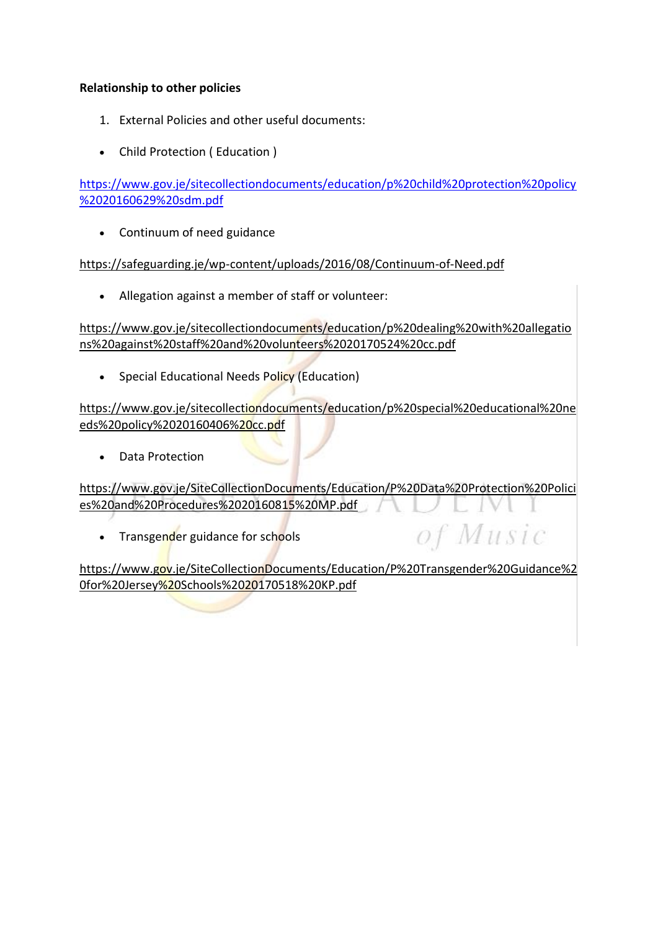## **Relationship to other policies**

- 1. External Policies and other useful documents:
- Child Protection ( Education )

[https://www.gov.je/sitecollectiondocuments/education/p%20child%20protection%20policy](https://www.gov.je/sitecollectiondocuments/education/p%20child%20protection%20policy%2020160629%20sdm.pdf) [%2020160629%20sdm.pdf](https://www.gov.je/sitecollectiondocuments/education/p%20child%20protection%20policy%2020160629%20sdm.pdf)

• Continuum of need guidance

<https://safeguarding.je/wp-content/uploads/2016/08/Continuum-of-Need.pdf>

• Allegation against a member of staff or volunteer:

[https://www.gov.je/sitecollectiondocuments/education/p%20dealing%20with%20allegatio](https://www.gov.je/sitecollectiondocuments/education/p%20dealing%20with%20allegations%20against%20staff%20and%20volunteers%2020170524%20cc.pdf) [ns%20against%20staff%20and%20volunteers%2020170524%20cc.pdf](https://www.gov.je/sitecollectiondocuments/education/p%20dealing%20with%20allegations%20against%20staff%20and%20volunteers%2020170524%20cc.pdf)

• Special Educational Needs Policy (Education)

[https://www.gov.je/sitecollectiondocuments/education/p%20special%20educational%20ne](https://www.gov.je/sitecollectiondocuments/education/p%20special%20educational%20needs%20policy%2020160406%20cc.pdf) [eds%20policy%2020160406%20cc.pdf](https://www.gov.je/sitecollectiondocuments/education/p%20special%20educational%20needs%20policy%2020160406%20cc.pdf)

• Data Protection

[https://www.gov.je/SiteCollectionDocuments/Education/P%20Data%20Protection%20Polici](https://www.gov.je/SiteCollectionDocuments/Education/P%20Data%20Protection%20Policies%20and%20Procedures%2020160815%20MP.pdf) [es%20and%20Procedures%2020160815%20MP.pdf](https://www.gov.je/SiteCollectionDocuments/Education/P%20Data%20Protection%20Policies%20and%20Procedures%2020160815%20MP.pdf)

• Transgender guidance for schools

of Music

[https://www.gov.je/SiteCollectionDocuments/Education/P%20Transgender%20Guidance%2](https://www.gov.je/SiteCollectionDocuments/Education/P%20Transgender%20Guidance%20for%20Jersey%20Schools%2020170518%20KP.pdf) [0for%20Jersey%20Schools%2020170518%20KP.pdf](https://www.gov.je/SiteCollectionDocuments/Education/P%20Transgender%20Guidance%20for%20Jersey%20Schools%2020170518%20KP.pdf)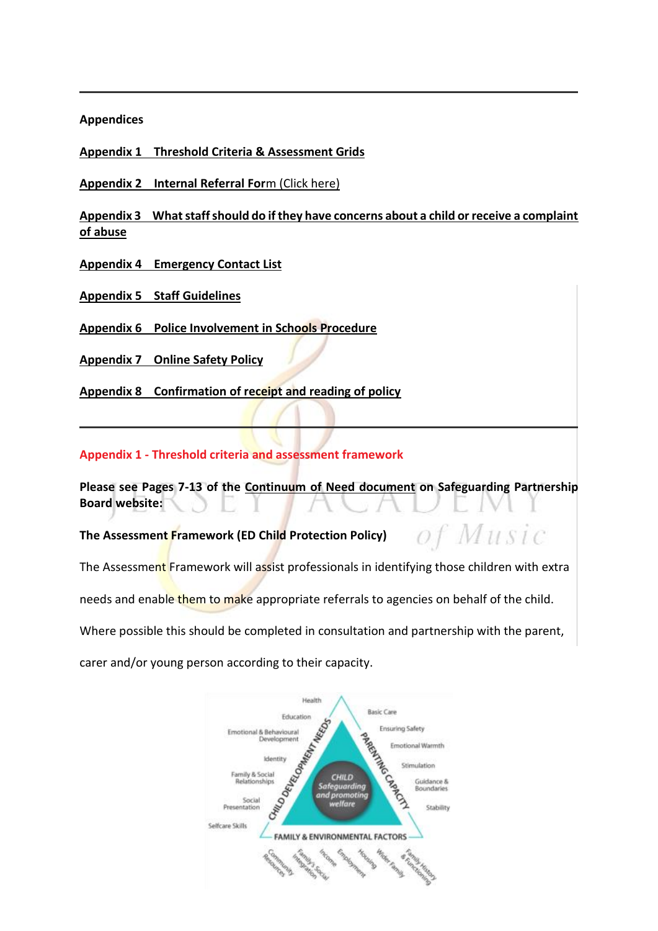#### **Appendices**

**[Appendix 1 Threshold Criteria & Assessment Grids](https://jerseycollegeforgirls.com/about-us/school-policies-information/%22#CPAppendix1%3Cstrong)**

**Appendix 2 Internal Referral For**m [\(Click here\)](#page-15-0)

**[Appendix 3 What staff should do if they have concerns about a child or receive a complaint](https://jerseycollegeforgirls.com/about-us/school-policies-information/%22#CPAppendix3%3Cstrong)  [of abuse](https://jerseycollegeforgirls.com/about-us/school-policies-information/%22#CPAppendix3%3Cstrong)**

**[Appendix 4 Emergency Contact List](https://jerseycollegeforgirls.com/about-us/school-policies-information/#CPAppendix4)**

**[Appendix 5 Staff Guidelines](https://jerseycollegeforgirls.com/about-us/school-policies-information/#CPAppendix5)**

**[Appendix 6 Police Involvement in Schools Procedure](https://jerseycollegeforgirls.com/about-us/school-policies-information/#CPAppendix6)**

**[Appendix 7 Online Safety Policy](https://jerseycollegeforgirls.com/about-us/school-policies-information/#CPAppendix8)**

**[Appendix 8 Confirmation of receipt and reading of policy](https://jerseycollegeforgirls.com/about-us/school-policies-information/#CPAppendix9)**

## **Appendix 1 - Threshold criteria and assessment framework**

**Please see Pages 7-13 of the [Continuum of Need document](https://safeguarding.je/wp-content/uploads/2020/01/Continuum-of-Need-Final-2020.pdf) on Safeguarding Partnership Board website:**

of Music

**The Assessment Framework (ED Child Protection Policy)** 

The Assessment Framework will assist professionals in identifying those children with extra

needs and enable them to make appropriate referrals to agencies on behalf of the child.

Where possible this should be completed in consultation and partnership with the parent,

carer and/or young person according to their capacity.

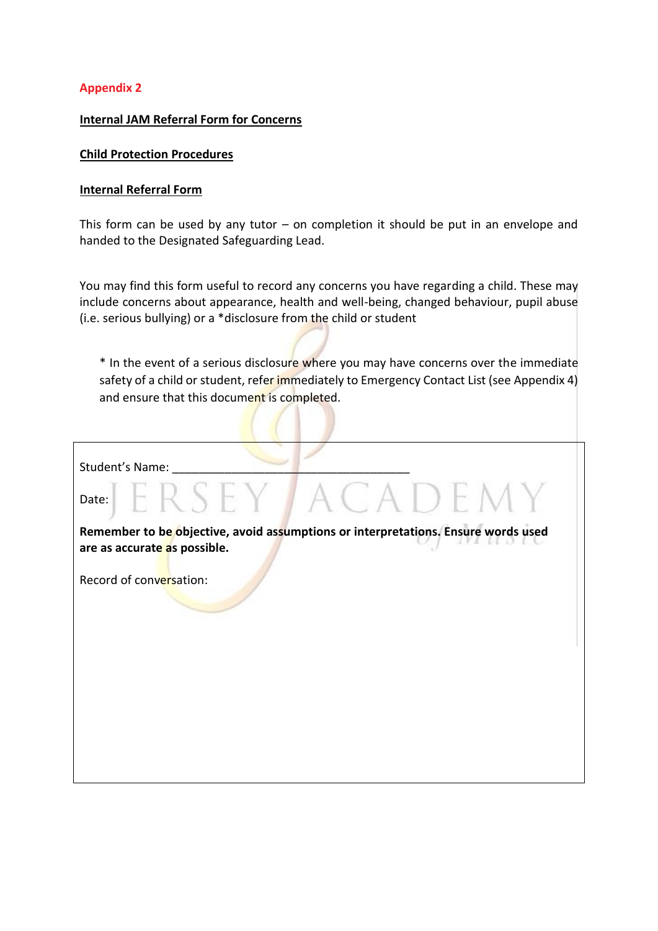## <span id="page-15-0"></span>**Appendix 2**

## **Internal JAM Referral Form for Concerns**

#### **Child Protection Procedures**

#### **Internal Referral Form**

This form can be used by any tutor  $-$  on completion it should be put in an envelope and handed to the Designated Safeguarding Lead.

You may find this form useful to record any concerns you have regarding a child. These may include concerns about appearance, health and well-being, changed behaviour, pupil abuse (i.e. serious bullying) or a \*disclosure from the child or student

\* In the event of a serious disclosure where you may have concerns over the immediate safety of a child or student, refer immediately to Emergency Contact List (see Appendix 4) and ensure that this document is completed.

| Student's Name:                                                                                                   |
|-------------------------------------------------------------------------------------------------------------------|
| ACADEMY<br>FRSEY7<br>Date:                                                                                        |
| Remember to be objective, avoid assumptions or interpretations. Ensure words used<br>are as accurate as possible. |
| Record of conversation:                                                                                           |
|                                                                                                                   |
|                                                                                                                   |
|                                                                                                                   |
|                                                                                                                   |
|                                                                                                                   |
|                                                                                                                   |
|                                                                                                                   |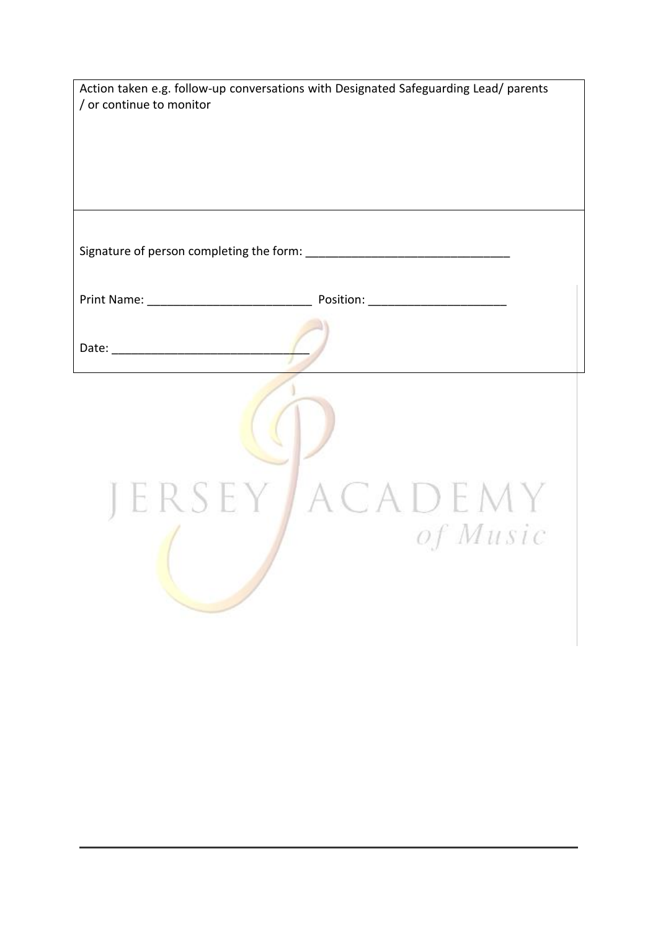|                                                               | Action taken e.g. follow-up conversations with Designated Safeguarding Lead/ parents |
|---------------------------------------------------------------|--------------------------------------------------------------------------------------|
| / or continue to monitor                                      |                                                                                      |
|                                                               |                                                                                      |
|                                                               |                                                                                      |
|                                                               |                                                                                      |
|                                                               |                                                                                      |
|                                                               |                                                                                      |
|                                                               |                                                                                      |
|                                                               |                                                                                      |
| Print Name: Manual Library Position: Manual Library Position: |                                                                                      |
|                                                               |                                                                                      |
|                                                               |                                                                                      |
|                                                               |                                                                                      |
|                                                               |                                                                                      |
|                                                               |                                                                                      |
|                                                               |                                                                                      |
|                                                               |                                                                                      |
|                                                               |                                                                                      |
| JERSEY J                                                      | ACADEMY                                                                              |
|                                                               | of Music                                                                             |
|                                                               |                                                                                      |
|                                                               |                                                                                      |
|                                                               |                                                                                      |
|                                                               |                                                                                      |
|                                                               |                                                                                      |
|                                                               |                                                                                      |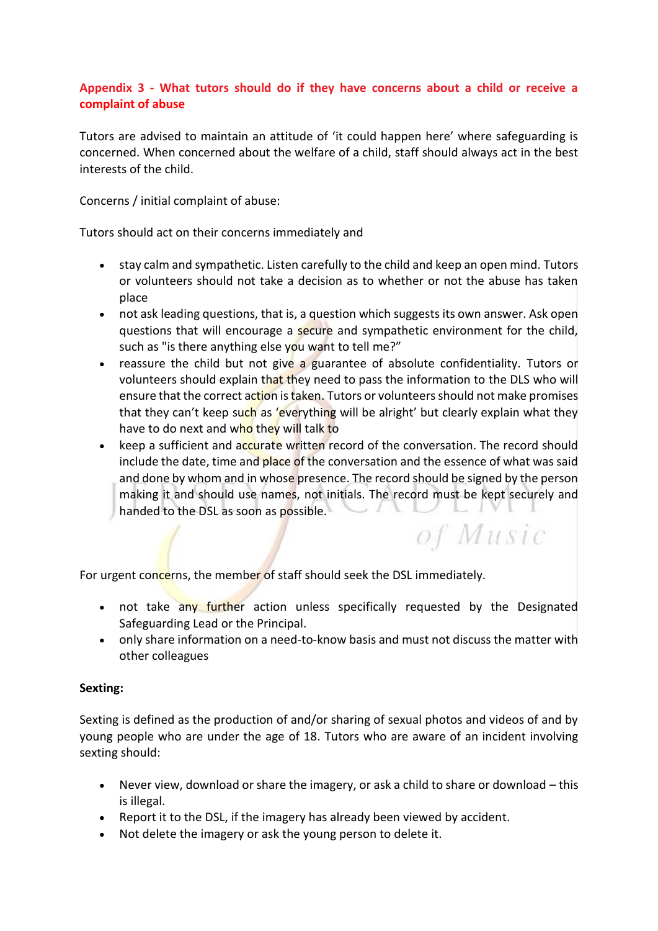# **Appendix 3 - What tutors should do if they have concerns about a child or receive a complaint of abuse**

<span id="page-17-0"></span>Tutors are advised to maintain an attitude of 'it could happen here' where safeguarding is concerned. When concerned about the welfare of a child, staff should always act in the best interests of the child.

Concerns / initial complaint of abuse:

Tutors should act on their concerns immediately and

- stay calm and sympathetic. Listen carefully to the child and keep an open mind. Tutors or volunteers should not take a decision as to whether or not the abuse has taken place
- not ask leading questions, that is, a question which suggests its own answer. Ask open questions that will encourage a secure and sympathetic environment for the child, such as "is there anything else you want to tell me?"
- reassure the child but not give a guarantee of absolute confidentiality. Tutors or volunteers should explain that they need to pass the information to the DLS who will ensure that the correct action is taken. Tutors or volunteers should not make promises that they can't keep such as 'everything will be alright' but clearly explain what they have to do next and who they will talk to
- keep a sufficient and accurate written record of the conversation. The record should include the date, time and place of the conversation and the essence of what was said and done by whom and in whose presence. The record should be signed by the person making it and should use names, not initials. The record must be kept securely and handed to the DSL as soon as possible. - 27

of Music

For urgent concerns, the member of staff should seek the DSL immediately.

- not take any further action unless specifically requested by the Designated Safeguarding Lead or the Principal.
- only share information on a need-to-know basis and must not discuss the matter with other colleagues

## **Sexting:**

Sexting is defined as the production of and/or sharing of sexual photos and videos of and by young people who are under the age of 18. Tutors who are aware of an incident involving sexting should:

- Never view, download or share the imagery, or ask a child to share or download this is illegal.
- Report it to the DSL, if the imagery has already been viewed by accident.
- Not delete the imagery or ask the young person to delete it.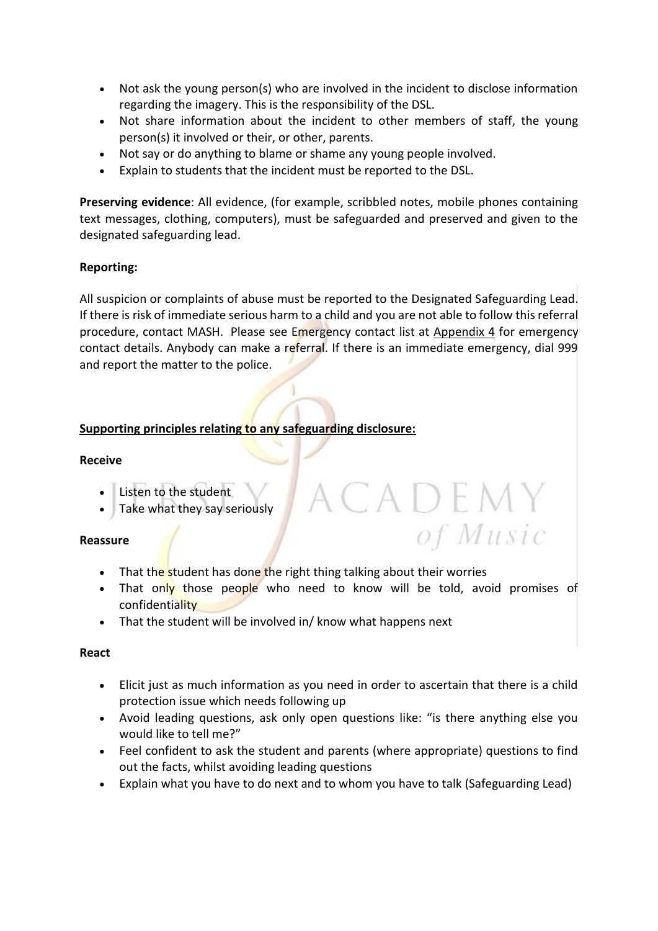- Not ask the young person(s) who are involved in the incident to disclose information regarding the imagery. This is the responsibility of the DSL.
- Not share information about the incident to other members of staff, the young person(s) it involved or their, or other, parents.
- Not say or do anything to blame or shame any young people involved.
- Explain to students that the incident must be reported to the DSL.

**Preserving evidence**: All evidence, (for example, scribbled notes, mobile phones containing text messages, clothing, computers), must be safeguarded and preserved and given to the designated safeguarding lead.

## **Reporting:**

All suspicion or complaints of abuse must be reported to the Designated Safeguarding Lead. If there is risk of immediate serious harm to a child and you are not able to follow this referral procedure, contact MASH. Please see Emergency contact list at [Appendix 4](#page-19-0) for emergency contact details. Anybody can make a referral. If there is an immediate emergency, dial 999 and report the matter to the police.

## **Supporting principles relating to any safeguarding disclosure:**

### **Receive**

- Listen to the student
- Take what they say seriously

## **Reassure**

- That the student has done the right thing talking about their worries
- That only those people who need to know will be told, avoid promises of confidentiality

ademy

of Music

• That the student will be involved in/ know what happens next

## **React**

- Elicit just as much information as you need in order to ascertain that there is a child protection issue which needs following up
- Avoid leading questions, ask only open questions like: "is there anything else you would like to tell me?"
- Feel confident to ask the student and parents (where appropriate) questions to find out the facts, whilst avoiding leading questions
- Explain what you have to do next and to whom you have to talk (Safeguarding Lead)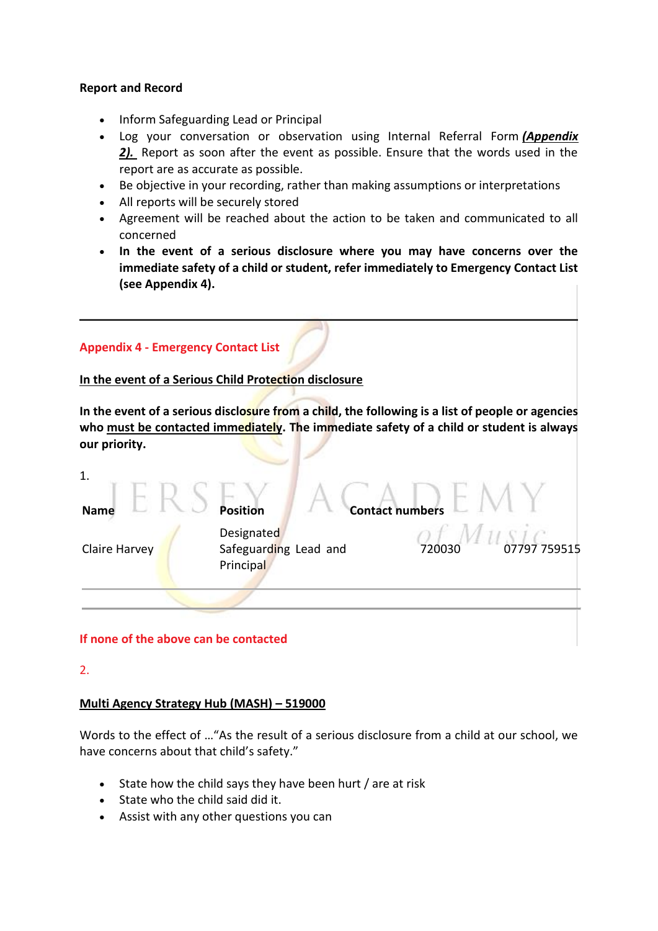## **Report and Record**

- Inform Safeguarding Lead or Principal
- Log your conversation or observation using Internal Referral Form *[\(Appendix](#page-15-0)  [2\).](#page-15-0)* Report as soon after the event as possible. Ensure that the words used in the report are as accurate as possible.
- Be objective in your recording, rather than making assumptions or interpretations
- All reports will be securely stored
- Agreement will be reached about the action to be taken and communicated to all concerned
- **In the event of a serious disclosure where you may have concerns over the immediate safety of a child or student, refer immediately to Emergency Contact List (see Appendix 4).**

<span id="page-19-0"></span>

| <b>Appendix 4 - Emergency Contact List</b>                                                                                                                                                                   |                                                  |                       |        |  |
|--------------------------------------------------------------------------------------------------------------------------------------------------------------------------------------------------------------|--------------------------------------------------|-----------------------|--------|--|
| In the event of a Serious Child Protection disclosure                                                                                                                                                        |                                                  |                       |        |  |
| In the event of a serious disclosure from a child, the following is a list of people or agencies<br>who must be contacted immediately. The immediate safety of a child or student is always<br>our priority. |                                                  |                       |        |  |
| 1.<br><b>Name</b>                                                                                                                                                                                            | Position                                         | <b>Contact number</b> |        |  |
| Claire Harvey                                                                                                                                                                                                | Designated<br>Safeguarding Lead and<br>Principal |                       | 720030 |  |
|                                                                                                                                                                                                              |                                                  |                       |        |  |

## **If none of the above can be contacted**

2.

## **Multi Agency Strategy Hub (MASH) – 519000**

Words to the effect of …"As the result of a serious disclosure from a child at our school, we have concerns about that child's safety."

- State how the child says they have been hurt / are at risk
- State who the child said did it.
- Assist with any other questions you can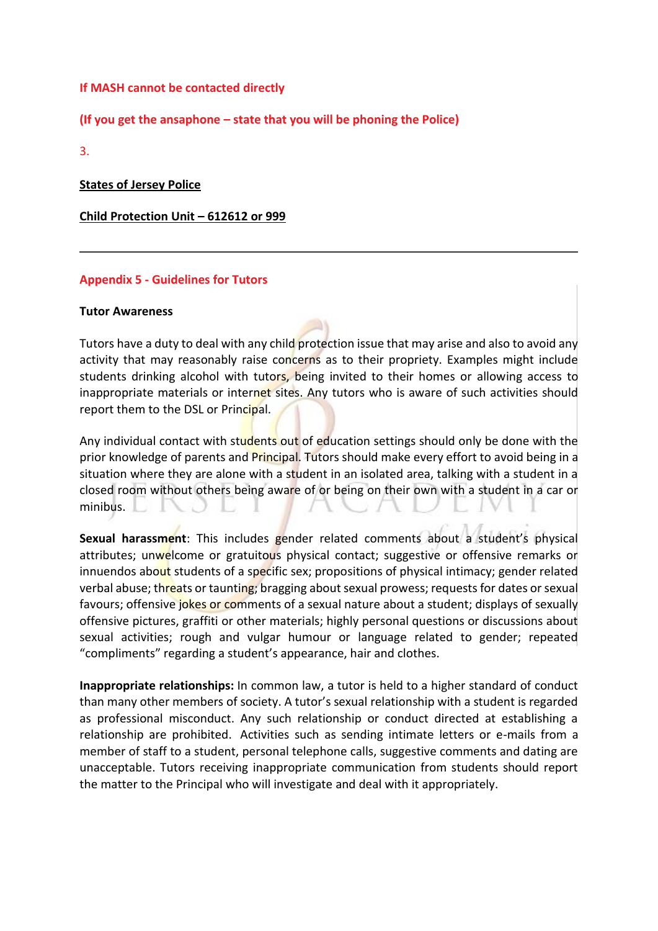## **If MASH cannot be contacted directly**

**(If you get the ansaphone – state that you will be phoning the Police)**

3.

**States of Jersey Police**

**Child Protection Unit – 612612 or 999**

## **Appendix 5 - Guidelines for Tutors**

#### <span id="page-20-0"></span>**Tutor Awareness**

Tutors have a duty to deal with any child protection issue that may arise and also to avoid any activity that may reasonably raise concerns as to their propriety. Examples might include students drinking alcohol with tutors, being invited to their homes or allowing access to inappropriate materials or internet sites. Any tutors who is aware of such activities should report them to the DSL or Principal.

Any individual contact with students out of education settings should only be done with the prior knowledge of parents and Principal. Tutors should make every effort to avoid being in a situation where they are alone with a student in an isolated area, talking with a student in a closed room without others being aware of or being on their own with a student in a car or minibus. L. I  $\mathbb{R}$ 

**Sexual harassment**: This includes gender related comments about a student's physical attributes; unwelcome or gratuitous physical contact; suggestive or offensive remarks or innuendos about students of a specific sex; propositions of physical intimacy; gender related verbal abuse; threats or taunting; bragging about sexual prowess; requests for dates or sexual favours; offensive jokes or comments of a sexual nature about a student; displays of sexually offensive pictures, graffiti or other materials; highly personal questions or discussions about sexual activities; rough and vulgar humour or language related to gender; repeated "compliments" regarding a student's appearance, hair and clothes.

**Inappropriate relationships:** In common law, a tutor is held to a higher standard of conduct than many other members of society. A tutor's sexual relationship with a student is regarded as professional misconduct. Any such relationship or conduct directed at establishing a relationship are prohibited. Activities such as sending intimate letters or e-mails from a member of staff to a student, personal telephone calls, suggestive comments and dating are unacceptable. Tutors receiving inappropriate communication from students should report the matter to the Principal who will investigate and deal with it appropriately.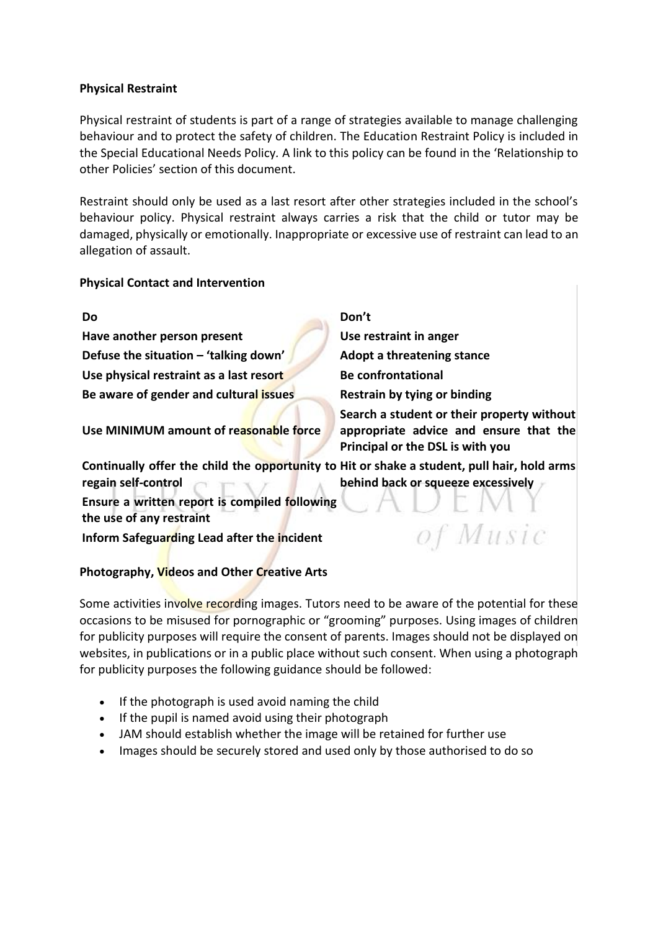## **Physical Restraint**

Physical restraint of students is part of a range of strategies available to manage challenging behaviour and to protect the safety of children. The Education Restraint Policy is included in the Special Educational Needs Policy*.* A link to this policy can be found in the 'Relationship to other Policies' section of this document.

Restraint should only be used as a last resort after other strategies included in the school's behaviour policy. Physical restraint always carries a risk that the child or tutor may be damaged, physically or emotionally. Inappropriate or excessive use of restraint can lead to an allegation of assault.

## **Physical Contact and Intervention**

**Have another person present Use restraint in anger Defuse the situation – 'talking down' Adopt a threatening stance Use physical restraint as a last resort Be confrontational Be aware of gender and cultural issues Restrain by tying or binding**

**Use MINIMUM amount of reasonable force**

**Do Don't**

**Search a student or their property without appropriate advice and ensure that the Principal or the DSL is with you**

of Music

**Continually offer the child the opportunity to Hit or shake a student, pull hair, hold arms regain self-control behind back or squeeze excessively**

**Ensure a written report is compiled following the use of any restraint**

**Inform Safeguarding Lead after the incident**

# **Photography, Videos and Other Creative Arts**

Some activities involve recording images. Tutors need to be aware of the potential for these occasions to be misused for pornographic or "grooming" purposes. Using images of children for publicity purposes will require the consent of parents. Images should not be displayed on websites, in publications or in a public place without such consent. When using a photograph for publicity purposes the following guidance should be followed:

- If the photograph is used avoid naming the child
- If the pupil is named avoid using their photograph
- JAM should establish whether the image will be retained for further use
- Images should be securely stored and used only by those authorised to do so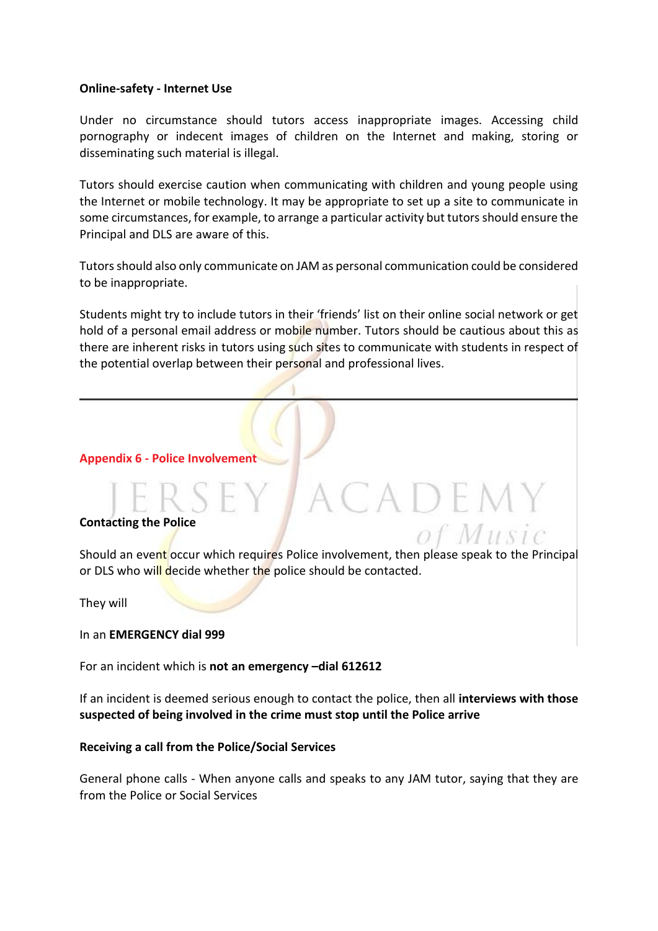### **Online-safety - Internet Use**

Under no circumstance should tutors access inappropriate images. Accessing child pornography or indecent images of children on the Internet and making, storing or disseminating such material is illegal.

Tutors should exercise caution when communicating with children and young people using the Internet or mobile technology. It may be appropriate to set up a site to communicate in some circumstances, for example, to arrange a particular activity but tutors should ensure the Principal and DLS are aware of this.

Tutors should also only communicate on JAM as personal communication could be considered to be inappropriate.

Students might try to include tutors in their 'friends' list on their online social network or get hold of a personal email address or mobile number. Tutors should be cautious about this as there are inherent risks in tutors using such sites to communicate with students in respect of the potential overlap between their personal and professional lives.

#### <span id="page-22-0"></span>**Appendix 6 - Police Involvement**

#### **Contacting the Police**

Should an event occur which requires Police involvement, then please speak to the Principal or DLS who will decide whether the police should be contacted.

ACADEMY

of Music

They will

In an **EMERGENCY dial 999**

For an incident which is **not an emergency –dial 612612**

If an incident is deemed serious enough to contact the police, then all **interviews with those suspected of being involved in the crime must stop until the Police arrive**

#### **Receiving a call from the Police/Social Services**

General phone calls - When anyone calls and speaks to any JAM tutor, saying that they are from the Police or Social Services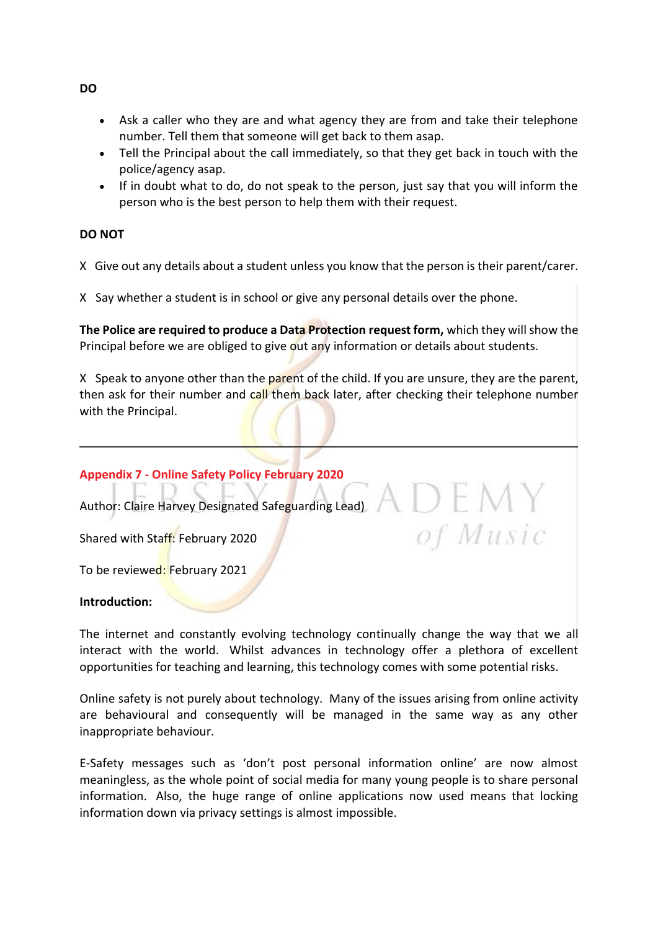- Ask a caller who they are and what agency they are from and take their telephone number. Tell them that someone will get back to them asap.
- Tell the Principal about the call immediately, so that they get back in touch with the police/agency asap.
- If in doubt what to do, do not speak to the person, just say that you will inform the person who is the best person to help them with their request.

## **DO NOT**

X Give out any details about a student unless you know that the person is their parent/carer.

X Say whether a student is in school or give any personal details over the phone.

**The Police are required to produce a Data Protection request form,** which they will show the Principal before we are obliged to give out any information or details about students.

X Speak to anyone other than the parent of the child. If you are unsure, they are the parent, then ask for their number and call them back later, after checking their telephone number with the Principal.

## **Appendix 7 - Online Safety Policy February 2020**

<span id="page-23-0"></span>Author: Claire Harvey Designated Safeguarding Lead)

Shared with Staff: February 2020

To be reviewed: February 2021

## **Introduction:**

The internet and constantly evolving technology continually change the way that we all interact with the world. Whilst advances in technology offer a plethora of excellent opportunities for teaching and learning, this technology comes with some potential risks.

of Music

Online safety is not purely about technology. Many of the issues arising from online activity are behavioural and consequently will be managed in the same way as any other inappropriate behaviour.

E-Safety messages such as 'don't post personal information online' are now almost meaningless, as the whole point of social media for many young people is to share personal information. Also, the huge range of online applications now used means that locking information down via privacy settings is almost impossible.

**DO**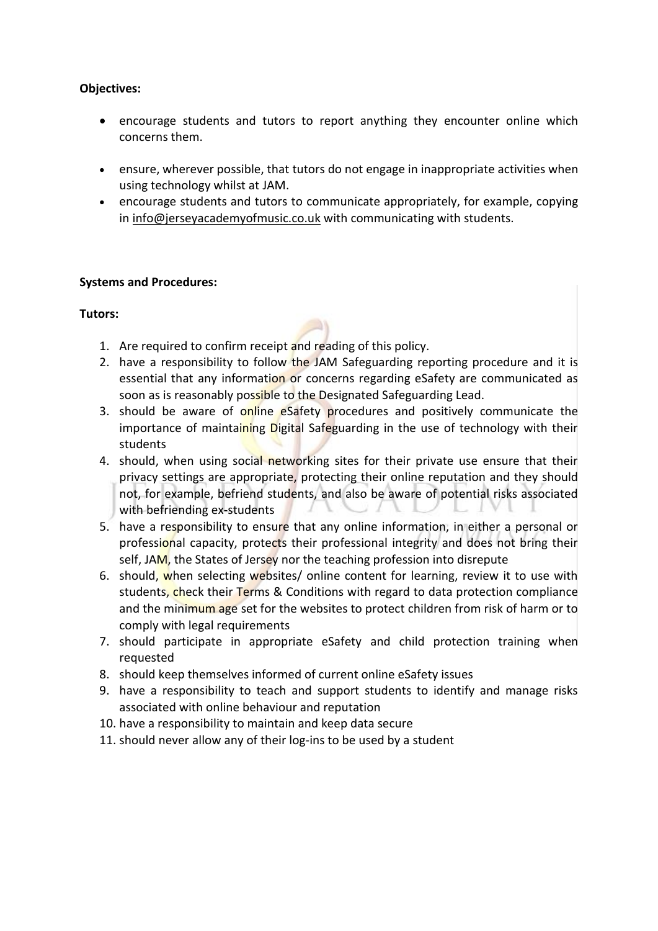## **Objectives:**

- encourage students and tutors to report anything they encounter online which concerns them.
- ensure, wherever possible, that tutors do not engage in inappropriate activities when using technology whilst at JAM.
- encourage students and tutors to communicate appropriately, for example, copying in [info@jerseyacademyofmusic.co.uk](mailto:info@jerseyacademyofmusic.co.uk) with communicating with students.

## **Systems and Procedures:**

## **Tutors:**

- 1. Are required to confirm receipt and reading of this policy.
- 2. have a responsibility to follow the JAM Safeguarding reporting procedure and it is essential that any information or concerns regarding eSafety are communicated as soon as is reasonably possible to the Designated Safeguarding Lead.
- 3. should be aware of online eSafety procedures and positively communicate the importance of maintaining Digital Safeguarding in the use of technology with their students
- 4. should, when using social networking sites for their private use ensure that their privacy settings are appropriate, protecting their online reputation and they should not, for example, befriend students, and also be aware of potential risks associated with befriending ex-students
- 5. have a responsibility to ensure that any online information, in either a personal or professional capacity, protects their professional integrity and does not bring their self, JAM, the States of Jersey nor the teaching profession into disrepute
- 6. should, when selecting websites/ online content for learning, review it to use with students, check their Terms & Conditions with regard to data protection compliance and the minimum age set for the websites to protect children from risk of harm or to comply with legal requirements
- 7. should participate in appropriate eSafety and child protection training when requested
- 8. should keep themselves informed of current online eSafety issues
- 9. have a responsibility to teach and support students to identify and manage risks associated with online behaviour and reputation
- 10. have a responsibility to maintain and keep data secure
- 11. should never allow any of their log-ins to be used by a student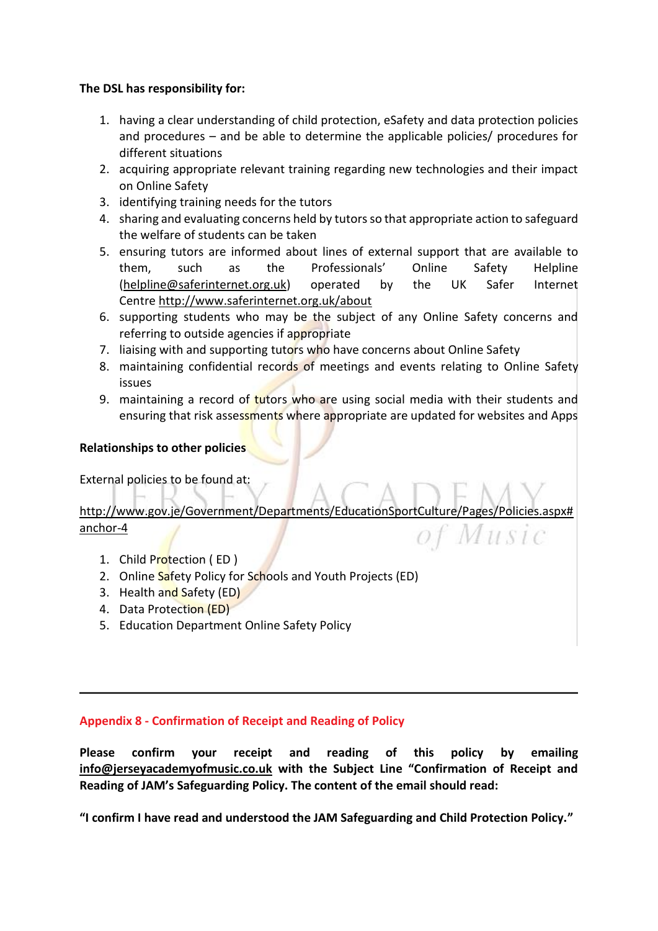## **The DSL has responsibility for:**

- 1. having a clear understanding of child protection, eSafety and data protection policies and procedures – and be able to determine the applicable policies/ procedures for different situations
- 2. acquiring appropriate relevant training regarding new technologies and their impact on Online Safety
- 3. identifying training needs for the tutors
- 4. sharing and evaluating concerns held by tutorsso that appropriate action to safeguard the welfare of students can be taken
- 5. ensuring tutors are informed about lines of external support that are available to them, such as the Professionals' Online Safety Helpline [\(helpline@saferinternet.org.uk\)](mailto:helpline@saferinternet.org.uk) operated by the UK Safer Internet Centre <http://www.saferinternet.org.uk/about>
- 6. supporting students who may be the subject of any Online Safety concerns and referring to outside agencies if appropriate
- 7. liaising with and supporting tutors who have concerns about Online Safety
- 8. maintaining confidential records of meetings and events relating to Online Safety issues
- 9. maintaining a record of tutors who are using social media with their students and ensuring that risk assessments where appropriate are updated for websites and Apps

## **Relationships to other policies**

External policies to be found at:

## [http://www.gov.je/Government/Departments/EducationSportCulture/Pages/Policies.aspx#](http://www.gov.je/Government/Departments/EducationSportCulture/Pages/Policies.aspx#anchor-4) [anchor-4](http://www.gov.je/Government/Departments/EducationSportCulture/Pages/Policies.aspx#anchor-4) of Music

- 1. Child Protection ( ED )
- 2. Online Safety Policy for Schools and Youth Projects (ED)
- 3. Health and Safety (ED)
- 4. Data Protection (ED)
- 5. Education Department Online Safety Policy

## **Appendix 8 - Confirmation of Receipt and Reading of Policy**

**Please confirm your receipt and reading of this policy by emailing [info@jerseyacademyofmusic.co.uk](mailto:info@jerseyacademyofmusic.co.uk) with the Subject Line "Confirmation of Receipt and Reading of JAM's Safeguarding Policy. The content of the email should read:**

**"I confirm I have read and understood the JAM Safeguarding and Child Protection Policy."**